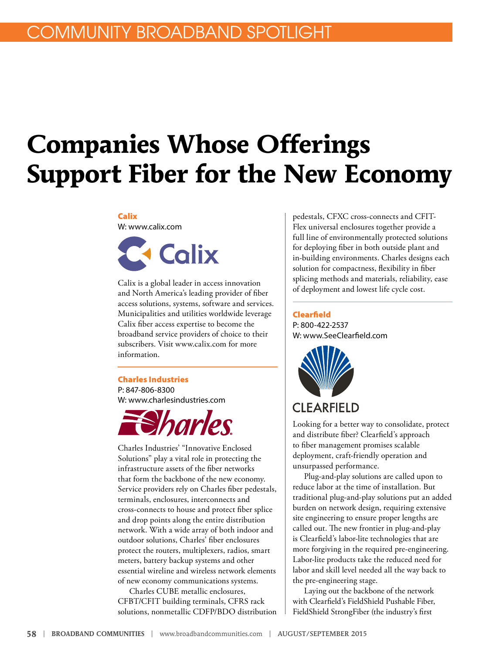# **Companies Whose Offerings Support Fiber for the New Economy**

#### Calix W: [www.calix.com](http://www.calix.com)



Calix is a global leader in access innovation and North America's leading provider of fiber access solutions, systems, software and services. Municipalities and utilities worldwide leverage Calix fiber access expertise to become the broadband service providers of choice to their subscribers. Visit [www.calix.com](http://www.calix.com) for more information.

#### Charles Industries

P: 847-806-8300 W: [www.charlesindustries.com](http://www.charlesindustries.com)



Charles Industries' "Innovative Enclosed Solutions" play a vital role in protecting the infrastructure assets of the fiber networks that form the backbone of the new economy. Service providers rely on Charles fiber pedestals, terminals, enclosures, interconnects and cross-connects to house and protect fiber splice and drop points along the entire distribution network. With a wide array of both indoor and outdoor solutions, Charles' fiber enclosures protect the routers, multiplexers, radios, smart meters, battery backup systems and other essential wireline and wireless network elements of new economy communications systems.

Charles CUBE metallic enclosures, CFBT/CFIT building terminals, CFRS rack solutions, nonmetallic CDFP/BDO distribution

pedestals, CFXC cross-connects and CFIT-Flex universal enclosures together provide a full line of environmentally protected solutions for deploying fiber in both outside plant and in-building environments. Charles designs each solution for compactness, flexibility in fiber splicing methods and materials, reliability, ease of deployment and lowest life cycle cost.

#### Clearfield

P: 800-422-2537 W: [www.SeeClearfield.com](http://www.SeeClearfield.com)



Looking for a better way to consolidate, protect and distribute fiber? Clearfield's approach to fiber management promises scalable deployment, craft-friendly operation and unsurpassed performance.

Plug-and-play solutions are called upon to reduce labor at the time of installation. But traditional plug-and-play solutions put an added burden on network design, requiring extensive site engineering to ensure proper lengths are called out. The new frontier in plug-and-play is Clearfield's labor-lite technologies that are more forgiving in the required pre-engineering. Labor-lite products take the reduced need for labor and skill level needed all the way back to the pre-engineering stage.

Laying out the backbone of the network with Clearfield's FieldShield Pushable Fiber, FieldShield StrongFiber (the industry's first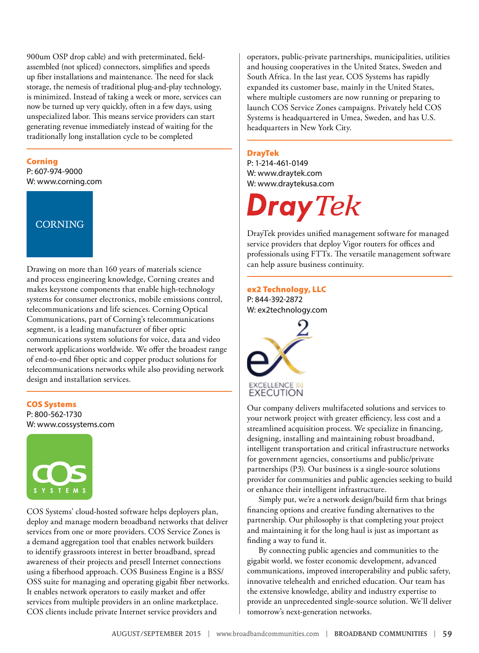900um OSP drop cable) and with preterminated, fieldassembled (not spliced) connectors, simplifies and speeds up fiber installations and maintenance. The need for slack storage, the nemesis of traditional plug-and-play technology, is minimized. Instead of taking a week or more, services can now be turned up very quickly, often in a few days, using unspecialized labor. This means service providers can start generating revenue immediately instead of waiting for the traditionally long installation cycle to be completed

#### Corning

P: 607-974-9000 W: [www.corning.com](http://www.corning.com) 

## **CORNING**

Drawing on more than 160 years of materials science and process engineering knowledge, Corning creates and makes keystone components that enable high-technology systems for consumer electronics, mobile emissions control, telecommunications and life sciences. Corning Optical Communications, part of Corning's telecommunications segment, is a leading manufacturer of fiber optic communications system solutions for voice, data and video network applications worldwide. We offer the broadest range of end-to-end fiber optic and copper product solutions for telecommunications networks while also providing network design and installation services.

#### COS Systems

P: 800-562-1730 W: [www.cossystems.com](http://www.cossystems.com)



COS Systems' cloud-hosted software helps deployers plan, deploy and manage modern broadband networks that deliver services from one or more providers. COS Service Zones is a demand aggregation tool that enables network builders to identify grassroots interest in better broadband, spread awareness of their projects and presell Internet connections using a fiberhood approach. COS Business Engine is a BSS/ OSS suite for managing and operating gigabit fiber networks. It enables network operators to easily market and offer services from multiple providers in an online marketplace. COS clients include private Internet service providers and

operators, public-private partnerships, municipalities, utilities and housing cooperatives in the United States, Sweden and South Africa. In the last year, COS Systems has rapidly expanded its customer base, mainly in the United States, where multiple customers are now running or preparing to launch COS Service Zones campaigns. Privately held COS Systems is headquartered in Umea, Sweden, and has U.S. headquarters in New York City.

#### DrayTek

P: 1-214-461-0149 W: www.draytek.com W: www.draytekusa.com

Dray Tek

DrayTek provides unified management software for managed service providers that deploy Vigor routers for offices and professionals using FTTx. The versatile management software can help assure business continuity.

#### ex2 Technology, LLC P: 844-392-2872 W: ex2technology.com



Our company delivers multifaceted solutions and services to your network project with greater efficiency, less cost and a streamlined acquisition process. We specialize in financing, designing, installing and maintaining robust broadband, intelligent transportation and critical infrastructure networks for government agencies, consortiums and public/private partnerships (P3). Our business is a single-source solutions provider for communities and public agencies seeking to build or enhance their intelligent infrastructure.

Simply put, we're a network design/build firm that brings financing options and creative funding alternatives to the partnership. Our philosophy is that completing your project and maintaining it for the long haul is just as important as finding a way to fund it.

By connecting public agencies and communities to the gigabit world, we foster economic development, advanced communications, improved interoperability and public safety, innovative telehealth and enriched education. Our team has the extensive knowledge, ability and industry expertise to provide an unprecedented single-source solution. We'll deliver tomorrow's next-generation networks.